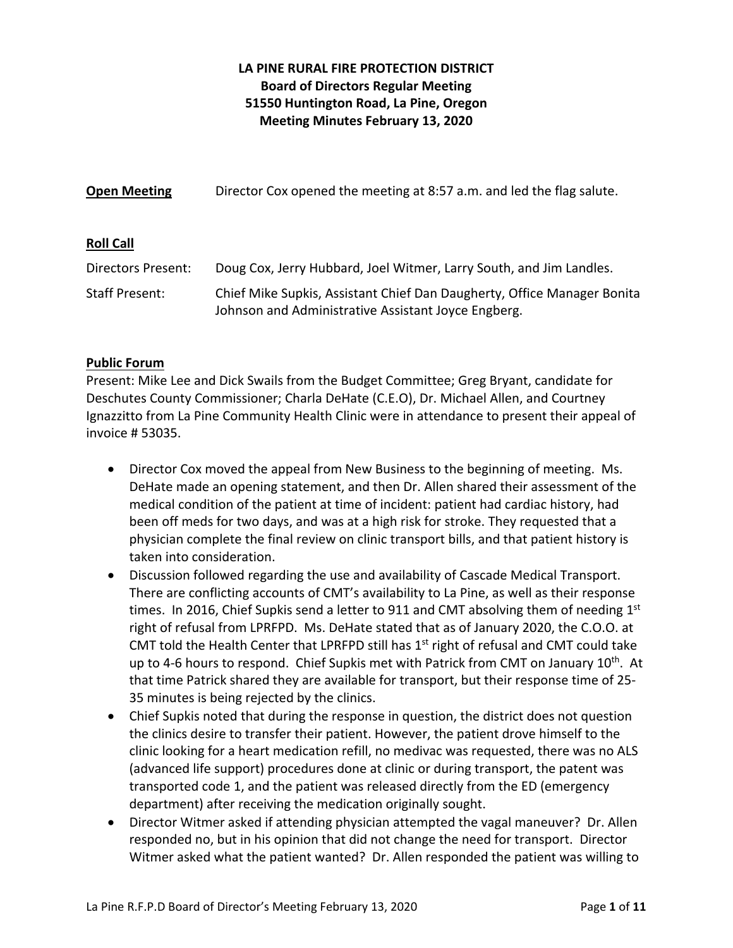# **LA PINE RURAL FIRE PROTECTION DISTRICT Board of Directors Regular Meeting 51550 Huntington Road, La Pine, Oregon Meeting Minutes February 13, 2020**

| <b>Open Meeting</b>   | Director Cox opened the meeting at 8:57 a.m. and led the flag salute.                                                          |
|-----------------------|--------------------------------------------------------------------------------------------------------------------------------|
| <b>Roll Call</b>      |                                                                                                                                |
| Directors Present:    | Doug Cox, Jerry Hubbard, Joel Witmer, Larry South, and Jim Landles.                                                            |
| <b>Staff Present:</b> | Chief Mike Supkis, Assistant Chief Dan Daugherty, Office Manager Bonita<br>Johnson and Administrative Assistant Joyce Engberg. |

## **Public Forum**

Present: Mike Lee and Dick Swails from the Budget Committee; Greg Bryant, candidate for Deschutes County Commissioner; Charla DeHate (C.E.O), Dr. Michael Allen, and Courtney Ignazzitto from La Pine Community Health Clinic were in attendance to present their appeal of invoice # 53035.

- Director Cox moved the appeal from New Business to the beginning of meeting. Ms. DeHate made an opening statement, and then Dr. Allen shared their assessment of the medical condition of the patient at time of incident: patient had cardiac history, had been off meds for two days, and was at a high risk for stroke. They requested that a physician complete the final review on clinic transport bills, and that patient history is taken into consideration.
- Discussion followed regarding the use and availability of Cascade Medical Transport. There are conflicting accounts of CMT's availability to La Pine, as well as their response times. In 2016, Chief Supkis send a letter to 911 and CMT absolving them of needing  $1<sup>st</sup>$ right of refusal from LPRFPD. Ms. DeHate stated that as of January 2020, the C.O.O. at CMT told the Health Center that LPRFPD still has  $1<sup>st</sup>$  right of refusal and CMT could take up to 4-6 hours to respond. Chief Supkis met with Patrick from CMT on January 10<sup>th</sup>. At that time Patrick shared they are available for transport, but their response time of 25‐ 35 minutes is being rejected by the clinics.
- Chief Supkis noted that during the response in question, the district does not question the clinics desire to transfer their patient. However, the patient drove himself to the clinic looking for a heart medication refill, no medivac was requested, there was no ALS (advanced life support) procedures done at clinic or during transport, the patent was transported code 1, and the patient was released directly from the ED (emergency department) after receiving the medication originally sought.
- Director Witmer asked if attending physician attempted the vagal maneuver? Dr. Allen responded no, but in his opinion that did not change the need for transport. Director Witmer asked what the patient wanted? Dr. Allen responded the patient was willing to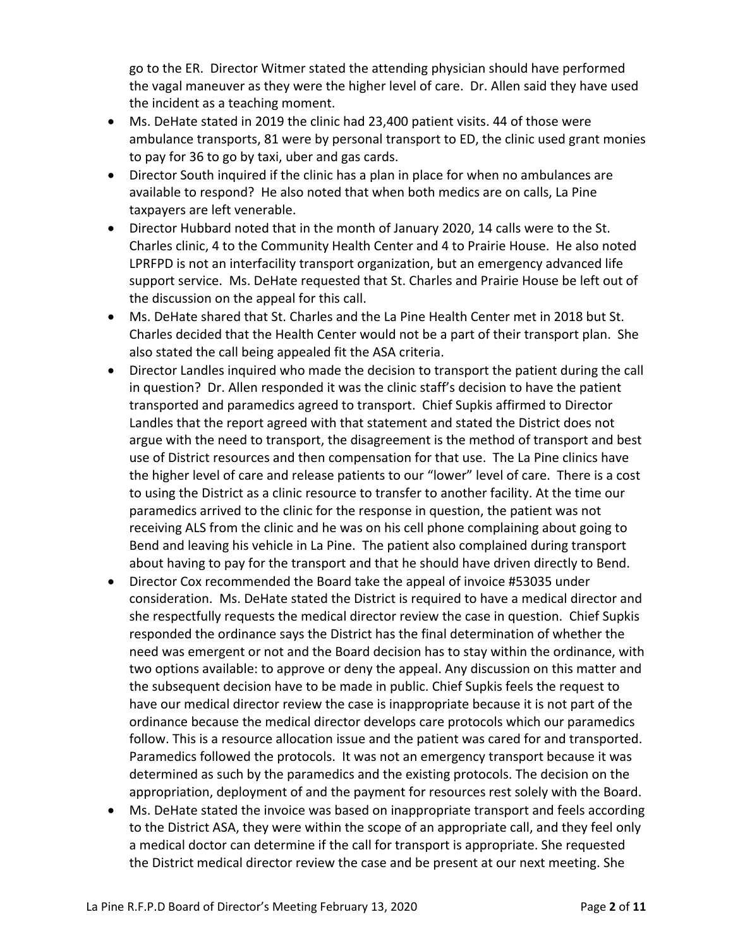go to the ER. Director Witmer stated the attending physician should have performed the vagal maneuver as they were the higher level of care. Dr. Allen said they have used the incident as a teaching moment.

- Ms. DeHate stated in 2019 the clinic had 23,400 patient visits. 44 of those were ambulance transports, 81 were by personal transport to ED, the clinic used grant monies to pay for 36 to go by taxi, uber and gas cards.
- Director South inquired if the clinic has a plan in place for when no ambulances are available to respond? He also noted that when both medics are on calls, La Pine taxpayers are left venerable.
- Director Hubbard noted that in the month of January 2020, 14 calls were to the St. Charles clinic, 4 to the Community Health Center and 4 to Prairie House. He also noted LPRFPD is not an interfacility transport organization, but an emergency advanced life support service. Ms. DeHate requested that St. Charles and Prairie House be left out of the discussion on the appeal for this call.
- Ms. DeHate shared that St. Charles and the La Pine Health Center met in 2018 but St. Charles decided that the Health Center would not be a part of their transport plan. She also stated the call being appealed fit the ASA criteria.
- Director Landles inquired who made the decision to transport the patient during the call in question? Dr. Allen responded it was the clinic staff's decision to have the patient transported and paramedics agreed to transport. Chief Supkis affirmed to Director Landles that the report agreed with that statement and stated the District does not argue with the need to transport, the disagreement is the method of transport and best use of District resources and then compensation for that use. The La Pine clinics have the higher level of care and release patients to our "lower" level of care. There is a cost to using the District as a clinic resource to transfer to another facility. At the time our paramedics arrived to the clinic for the response in question, the patient was not receiving ALS from the clinic and he was on his cell phone complaining about going to Bend and leaving his vehicle in La Pine. The patient also complained during transport about having to pay for the transport and that he should have driven directly to Bend.
- Director Cox recommended the Board take the appeal of invoice #53035 under consideration. Ms. DeHate stated the District is required to have a medical director and she respectfully requests the medical director review the case in question. Chief Supkis responded the ordinance says the District has the final determination of whether the need was emergent or not and the Board decision has to stay within the ordinance, with two options available: to approve or deny the appeal. Any discussion on this matter and the subsequent decision have to be made in public. Chief Supkis feels the request to have our medical director review the case is inappropriate because it is not part of the ordinance because the medical director develops care protocols which our paramedics follow. This is a resource allocation issue and the patient was cared for and transported. Paramedics followed the protocols. It was not an emergency transport because it was determined as such by the paramedics and the existing protocols. The decision on the appropriation, deployment of and the payment for resources rest solely with the Board.
- Ms. DeHate stated the invoice was based on inappropriate transport and feels according to the District ASA, they were within the scope of an appropriate call, and they feel only a medical doctor can determine if the call for transport is appropriate. She requested the District medical director review the case and be present at our next meeting. She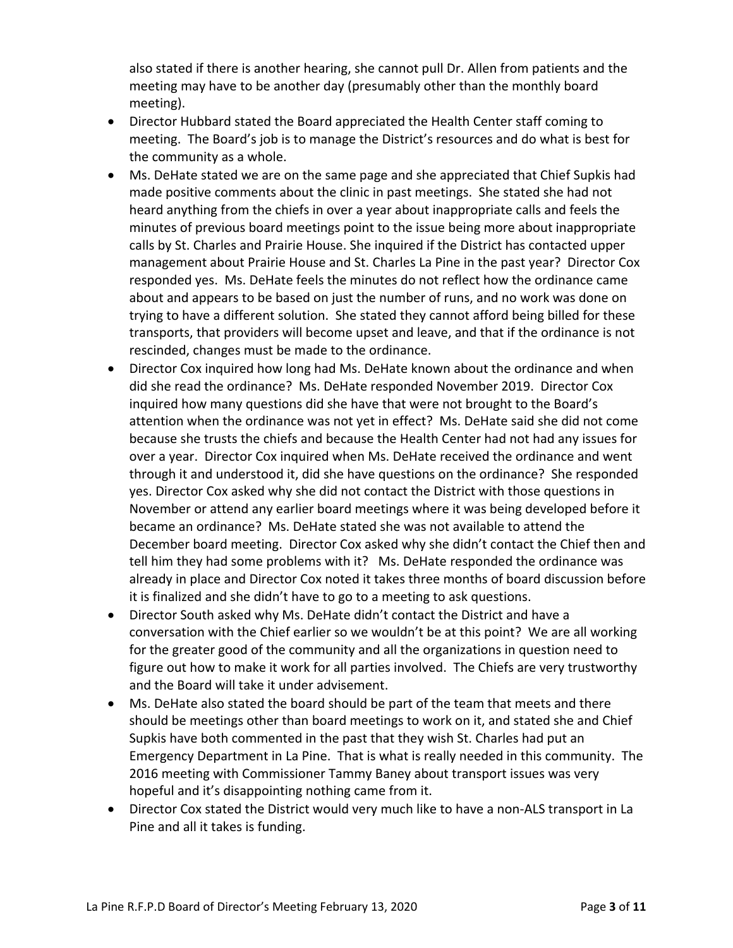also stated if there is another hearing, she cannot pull Dr. Allen from patients and the meeting may have to be another day (presumably other than the monthly board meeting).

- Director Hubbard stated the Board appreciated the Health Center staff coming to meeting. The Board's job is to manage the District's resources and do what is best for the community as a whole.
- Ms. DeHate stated we are on the same page and she appreciated that Chief Supkis had made positive comments about the clinic in past meetings. She stated she had not heard anything from the chiefs in over a year about inappropriate calls and feels the minutes of previous board meetings point to the issue being more about inappropriate calls by St. Charles and Prairie House. She inquired if the District has contacted upper management about Prairie House and St. Charles La Pine in the past year? Director Cox responded yes. Ms. DeHate feels the minutes do not reflect how the ordinance came about and appears to be based on just the number of runs, and no work was done on trying to have a different solution. She stated they cannot afford being billed for these transports, that providers will become upset and leave, and that if the ordinance is not rescinded, changes must be made to the ordinance.
- Director Cox inquired how long had Ms. DeHate known about the ordinance and when did she read the ordinance? Ms. DeHate responded November 2019. Director Cox inquired how many questions did she have that were not brought to the Board's attention when the ordinance was not yet in effect? Ms. DeHate said she did not come because she trusts the chiefs and because the Health Center had not had any issues for over a year. Director Cox inquired when Ms. DeHate received the ordinance and went through it and understood it, did she have questions on the ordinance? She responded yes. Director Cox asked why she did not contact the District with those questions in November or attend any earlier board meetings where it was being developed before it became an ordinance? Ms. DeHate stated she was not available to attend the December board meeting. Director Cox asked why she didn't contact the Chief then and tell him they had some problems with it? Ms. DeHate responded the ordinance was already in place and Director Cox noted it takes three months of board discussion before it is finalized and she didn't have to go to a meeting to ask questions.
- Director South asked why Ms. DeHate didn't contact the District and have a conversation with the Chief earlier so we wouldn't be at this point? We are all working for the greater good of the community and all the organizations in question need to figure out how to make it work for all parties involved. The Chiefs are very trustworthy and the Board will take it under advisement.
- Ms. DeHate also stated the board should be part of the team that meets and there should be meetings other than board meetings to work on it, and stated she and Chief Supkis have both commented in the past that they wish St. Charles had put an Emergency Department in La Pine. That is what is really needed in this community. The 2016 meeting with Commissioner Tammy Baney about transport issues was very hopeful and it's disappointing nothing came from it.
- Director Cox stated the District would very much like to have a non‐ALS transport in La Pine and all it takes is funding.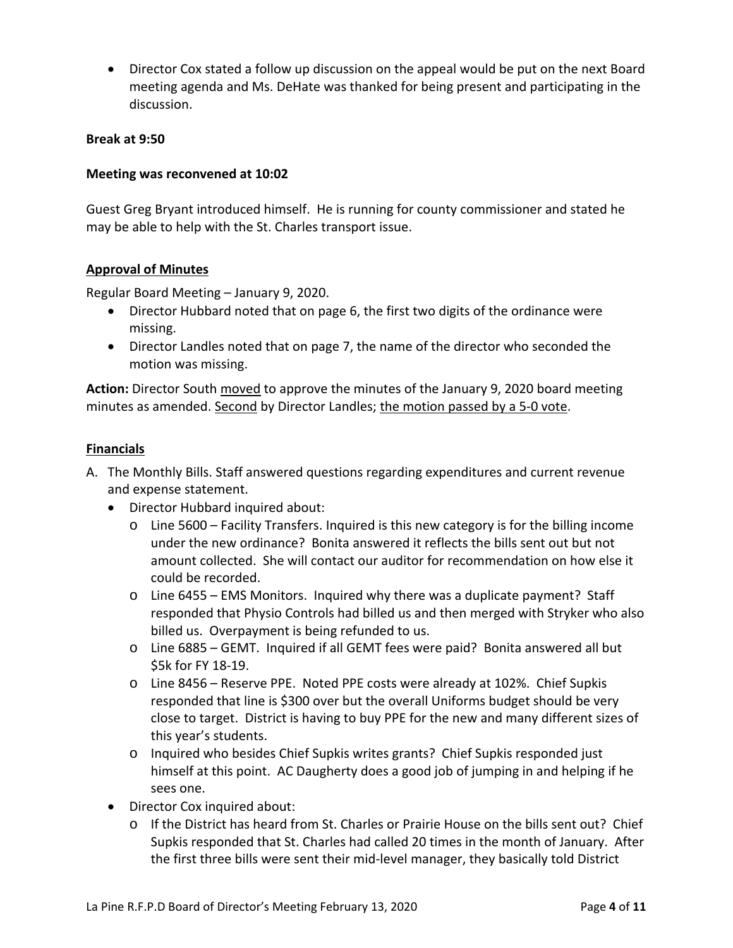Director Cox stated a follow up discussion on the appeal would be put on the next Board meeting agenda and Ms. DeHate was thanked for being present and participating in the discussion.

#### **Break at 9:50**

#### **Meeting was reconvened at 10:02**

Guest Greg Bryant introduced himself. He is running for county commissioner and stated he may be able to help with the St. Charles transport issue.

#### **Approval of Minutes**

Regular Board Meeting – January 9, 2020.

- Director Hubbard noted that on page 6, the first two digits of the ordinance were missing.
- Director Landles noted that on page 7, the name of the director who seconded the motion was missing.

**Action:** Director South moved to approve the minutes of the January 9, 2020 board meeting minutes as amended. Second by Director Landles; the motion passed by a 5‐0 vote.

#### **Financials**

- A. The Monthly Bills. Staff answered questions regarding expenditures and current revenue and expense statement.
	- Director Hubbard inquired about:
		- o Line 5600 Facility Transfers. Inquired is this new category is for the billing income under the new ordinance? Bonita answered it reflects the bills sent out but not amount collected. She will contact our auditor for recommendation on how else it could be recorded.
		- o Line 6455 EMS Monitors. Inquired why there was a duplicate payment? Staff responded that Physio Controls had billed us and then merged with Stryker who also billed us. Overpayment is being refunded to us.
		- o Line 6885 GEMT. Inquired if all GEMT fees were paid? Bonita answered all but \$5k for FY 18‐19.
		- o Line 8456 Reserve PPE. Noted PPE costs were already at 102%. Chief Supkis responded that line is \$300 over but the overall Uniforms budget should be very close to target. District is having to buy PPE for the new and many different sizes of this year's students.
		- o Inquired who besides Chief Supkis writes grants? Chief Supkis responded just himself at this point. AC Daugherty does a good job of jumping in and helping if he sees one.
	- Director Cox inquired about:
		- o If the District has heard from St. Charles or Prairie House on the bills sent out? Chief Supkis responded that St. Charles had called 20 times in the month of January. After the first three bills were sent their mid‐level manager, they basically told District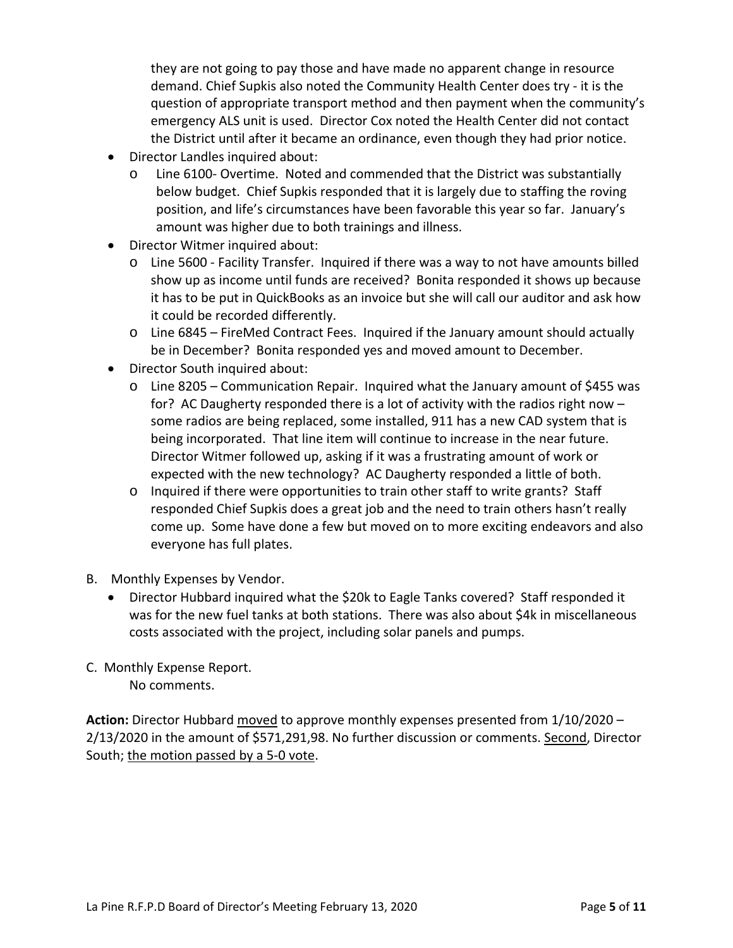they are not going to pay those and have made no apparent change in resource demand. Chief Supkis also noted the Community Health Center does try ‐ it is the question of appropriate transport method and then payment when the community's emergency ALS unit is used. Director Cox noted the Health Center did not contact the District until after it became an ordinance, even though they had prior notice.

- Director Landles inquired about:
	- o Line 6100‐ Overtime. Noted and commended that the District was substantially below budget. Chief Supkis responded that it is largely due to staffing the roving position, and life's circumstances have been favorable this year so far. January's amount was higher due to both trainings and illness.
- Director Witmer inquired about:
	- o Line 5600 ‐ Facility Transfer. Inquired if there was a way to not have amounts billed show up as income until funds are received? Bonita responded it shows up because it has to be put in QuickBooks as an invoice but she will call our auditor and ask how it could be recorded differently.
	- o Line 6845 FireMed Contract Fees. Inquired if the January amount should actually be in December? Bonita responded yes and moved amount to December.
- Director South inquired about:
	- o Line 8205 Communication Repair. Inquired what the January amount of \$455 was for? AC Daugherty responded there is a lot of activity with the radios right now – some radios are being replaced, some installed, 911 has a new CAD system that is being incorporated. That line item will continue to increase in the near future. Director Witmer followed up, asking if it was a frustrating amount of work or expected with the new technology? AC Daugherty responded a little of both.
	- o Inquired if there were opportunities to train other staff to write grants? Staff responded Chief Supkis does a great job and the need to train others hasn't really come up. Some have done a few but moved on to more exciting endeavors and also everyone has full plates.
- B. Monthly Expenses by Vendor.
	- Director Hubbard inquired what the \$20k to Eagle Tanks covered? Staff responded it was for the new fuel tanks at both stations. There was also about \$4k in miscellaneous costs associated with the project, including solar panels and pumps.
- C. Monthly Expense Report. No comments.

**Action:** Director Hubbard moved to approve monthly expenses presented from 1/10/2020 – 2/13/2020 in the amount of \$571,291,98. No further discussion or comments. Second, Director South; the motion passed by a 5‐0 vote.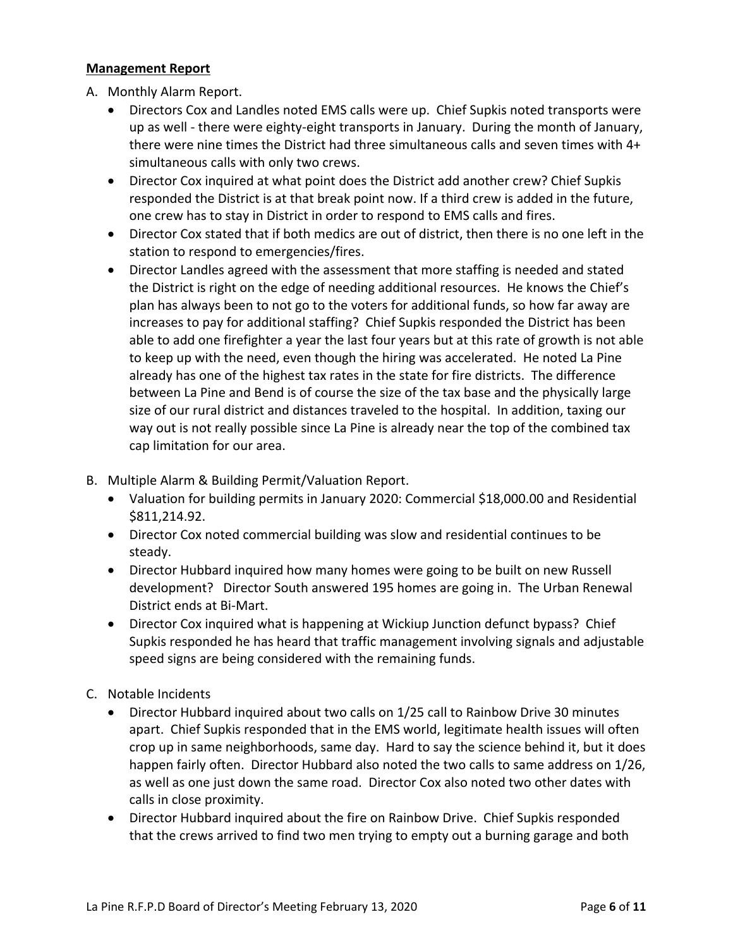#### **Management Report**

A. Monthly Alarm Report.

- Directors Cox and Landles noted EMS calls were up. Chief Supkis noted transports were up as well ‐ there were eighty‐eight transports in January. During the month of January, there were nine times the District had three simultaneous calls and seven times with 4+ simultaneous calls with only two crews.
- Director Cox inquired at what point does the District add another crew? Chief Supkis responded the District is at that break point now. If a third crew is added in the future, one crew has to stay in District in order to respond to EMS calls and fires.
- Director Cox stated that if both medics are out of district, then there is no one left in the station to respond to emergencies/fires.
- Director Landles agreed with the assessment that more staffing is needed and stated the District is right on the edge of needing additional resources. He knows the Chief's plan has always been to not go to the voters for additional funds, so how far away are increases to pay for additional staffing? Chief Supkis responded the District has been able to add one firefighter a year the last four years but at this rate of growth is not able to keep up with the need, even though the hiring was accelerated. He noted La Pine already has one of the highest tax rates in the state for fire districts. The difference between La Pine and Bend is of course the size of the tax base and the physically large size of our rural district and distances traveled to the hospital. In addition, taxing our way out is not really possible since La Pine is already near the top of the combined tax cap limitation for our area.
- B. Multiple Alarm & Building Permit/Valuation Report.
	- Valuation for building permits in January 2020: Commercial \$18,000.00 and Residential \$811,214.92.
	- Director Cox noted commercial building was slow and residential continues to be steady.
	- Director Hubbard inquired how many homes were going to be built on new Russell development? Director South answered 195 homes are going in. The Urban Renewal District ends at Bi‐Mart.
	- Director Cox inquired what is happening at Wickiup Junction defunct bypass? Chief Supkis responded he has heard that traffic management involving signals and adjustable speed signs are being considered with the remaining funds.
- C. Notable Incidents
	- Director Hubbard inquired about two calls on 1/25 call to Rainbow Drive 30 minutes apart. Chief Supkis responded that in the EMS world, legitimate health issues will often crop up in same neighborhoods, same day. Hard to say the science behind it, but it does happen fairly often. Director Hubbard also noted the two calls to same address on 1/26, as well as one just down the same road. Director Cox also noted two other dates with calls in close proximity.
	- Director Hubbard inquired about the fire on Rainbow Drive. Chief Supkis responded that the crews arrived to find two men trying to empty out a burning garage and both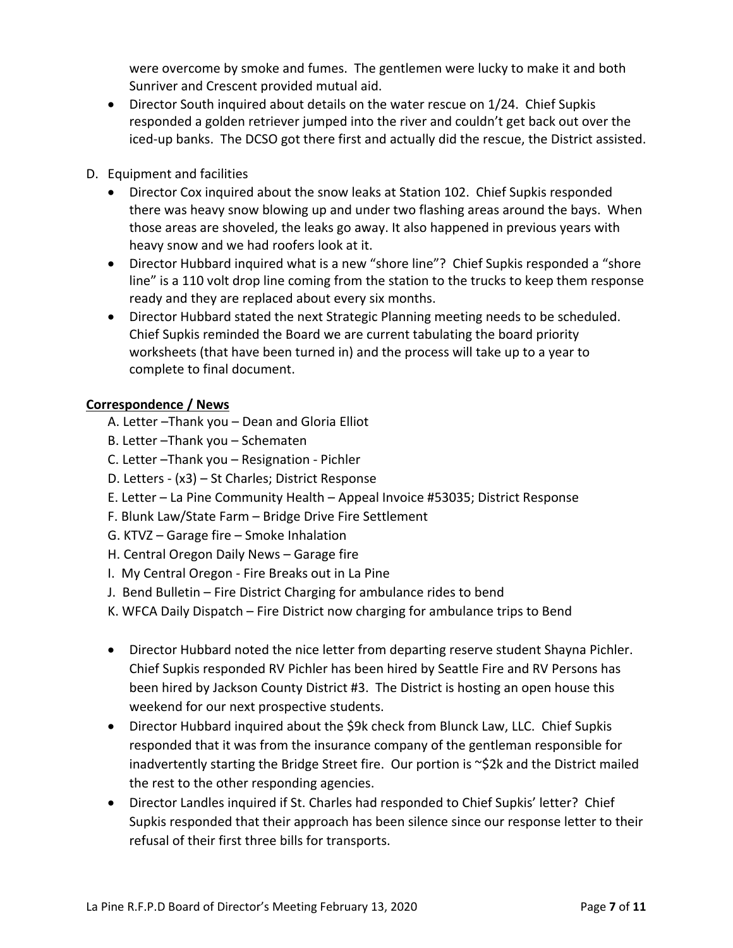were overcome by smoke and fumes. The gentlemen were lucky to make it and both Sunriver and Crescent provided mutual aid.

 Director South inquired about details on the water rescue on 1/24. Chief Supkis responded a golden retriever jumped into the river and couldn't get back out over the iced-up banks. The DCSO got there first and actually did the rescue, the District assisted.

# D. Equipment and facilities

- Director Cox inquired about the snow leaks at Station 102. Chief Supkis responded there was heavy snow blowing up and under two flashing areas around the bays. When those areas are shoveled, the leaks go away. It also happened in previous years with heavy snow and we had roofers look at it.
- Director Hubbard inquired what is a new "shore line"? Chief Supkis responded a "shore line" is a 110 volt drop line coming from the station to the trucks to keep them response ready and they are replaced about every six months.
- Director Hubbard stated the next Strategic Planning meeting needs to be scheduled. Chief Supkis reminded the Board we are current tabulating the board priority worksheets (that have been turned in) and the process will take up to a year to complete to final document.

# **Correspondence / News**

- A. Letter –Thank you Dean and Gloria Elliot
- B. Letter –Thank you Schematen
- C. Letter –Thank you Resignation ‐ Pichler
- D. Letters ‐ (x3) St Charles; District Response
- E. Letter La Pine Community Health Appeal Invoice #53035; District Response
- F. Blunk Law/State Farm Bridge Drive Fire Settlement
- G. KTVZ Garage fire Smoke Inhalation
- H. Central Oregon Daily News Garage fire
- I. My Central Oregon ‐ Fire Breaks out in La Pine
- J. Bend Bulletin Fire District Charging for ambulance rides to bend
- K. WFCA Daily Dispatch Fire District now charging for ambulance trips to Bend
- Director Hubbard noted the nice letter from departing reserve student Shayna Pichler. Chief Supkis responded RV Pichler has been hired by Seattle Fire and RV Persons has been hired by Jackson County District #3. The District is hosting an open house this weekend for our next prospective students.
- Director Hubbard inquired about the \$9k check from Blunck Law, LLC. Chief Supkis responded that it was from the insurance company of the gentleman responsible for inadvertently starting the Bridge Street fire. Our portion is ~\$2k and the District mailed the rest to the other responding agencies.
- Director Landles inquired if St. Charles had responded to Chief Supkis' letter? Chief Supkis responded that their approach has been silence since our response letter to their refusal of their first three bills for transports.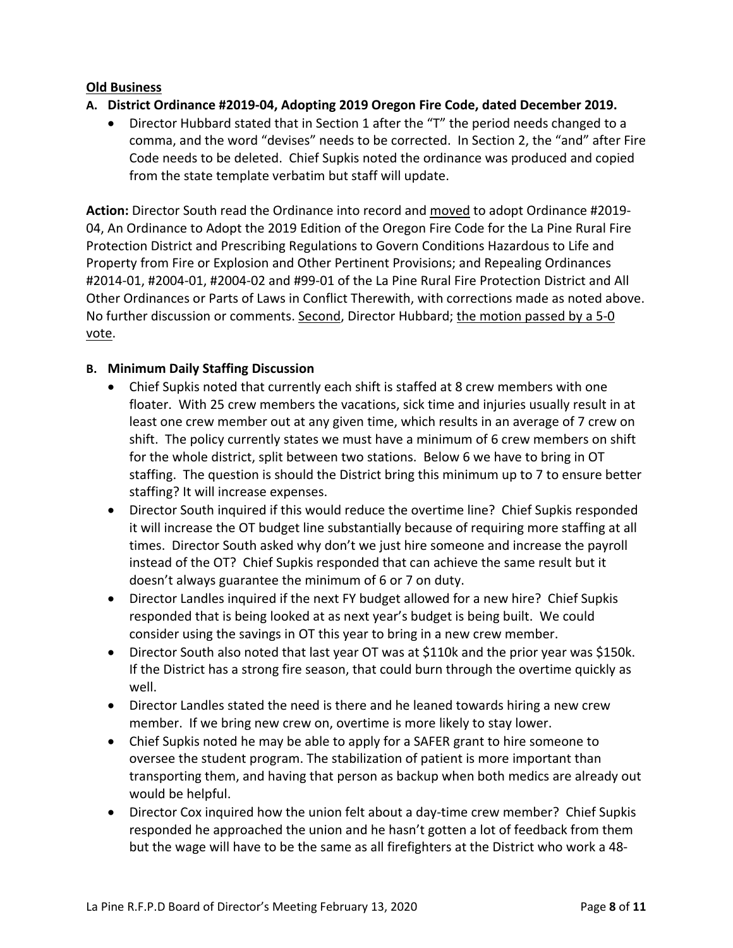### **Old Business**

- **A. District Ordinance #2019‐04, Adopting 2019 Oregon Fire Code, dated December 2019.**
	- Director Hubbard stated that in Section 1 after the "T" the period needs changed to a comma, and the word "devises" needs to be corrected. In Section 2, the "and" after Fire Code needs to be deleted. Chief Supkis noted the ordinance was produced and copied from the state template verbatim but staff will update.

**Action:** Director South read the Ordinance into record and moved to adopt Ordinance #2019‐ 04, An Ordinance to Adopt the 2019 Edition of the Oregon Fire Code for the La Pine Rural Fire Protection District and Prescribing Regulations to Govern Conditions Hazardous to Life and Property from Fire or Explosion and Other Pertinent Provisions; and Repealing Ordinances #2014‐01, #2004‐01, #2004‐02 and #99‐01 of the La Pine Rural Fire Protection District and All Other Ordinances or Parts of Laws in Conflict Therewith, with corrections made as noted above. No further discussion or comments. Second, Director Hubbard; the motion passed by a 5-0 vote.

## **B. Minimum Daily Staffing Discussion**

- Chief Supkis noted that currently each shift is staffed at 8 crew members with one floater. With 25 crew members the vacations, sick time and injuries usually result in at least one crew member out at any given time, which results in an average of 7 crew on shift. The policy currently states we must have a minimum of 6 crew members on shift for the whole district, split between two stations. Below 6 we have to bring in OT staffing. The question is should the District bring this minimum up to 7 to ensure better staffing? It will increase expenses.
- Director South inquired if this would reduce the overtime line? Chief Supkis responded it will increase the OT budget line substantially because of requiring more staffing at all times. Director South asked why don't we just hire someone and increase the payroll instead of the OT? Chief Supkis responded that can achieve the same result but it doesn't always guarantee the minimum of 6 or 7 on duty.
- Director Landles inquired if the next FY budget allowed for a new hire? Chief Supkis responded that is being looked at as next year's budget is being built. We could consider using the savings in OT this year to bring in a new crew member.
- Director South also noted that last year OT was at \$110k and the prior year was \$150k. If the District has a strong fire season, that could burn through the overtime quickly as well.
- Director Landles stated the need is there and he leaned towards hiring a new crew member. If we bring new crew on, overtime is more likely to stay lower.
- Chief Supkis noted he may be able to apply for a SAFER grant to hire someone to oversee the student program. The stabilization of patient is more important than transporting them, and having that person as backup when both medics are already out would be helpful.
- Director Cox inquired how the union felt about a day-time crew member? Chief Supkis responded he approached the union and he hasn't gotten a lot of feedback from them but the wage will have to be the same as all firefighters at the District who work a 48‐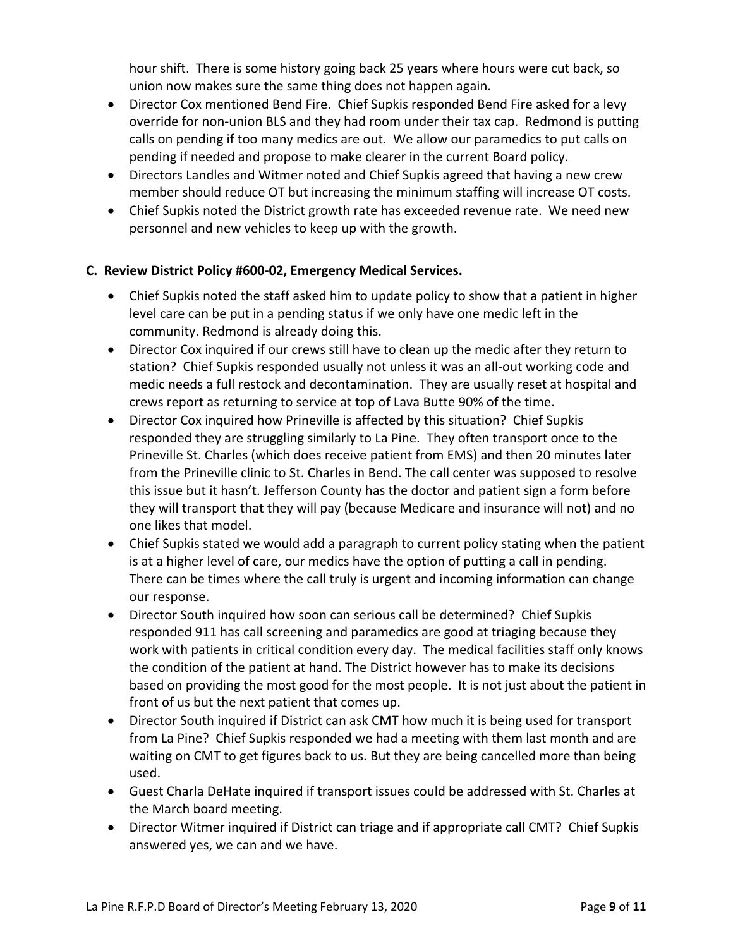hour shift. There is some history going back 25 years where hours were cut back, so union now makes sure the same thing does not happen again.

- Director Cox mentioned Bend Fire. Chief Supkis responded Bend Fire asked for a levy override for non‐union BLS and they had room under their tax cap. Redmond is putting calls on pending if too many medics are out. We allow our paramedics to put calls on pending if needed and propose to make clearer in the current Board policy.
- Directors Landles and Witmer noted and Chief Supkis agreed that having a new crew member should reduce OT but increasing the minimum staffing will increase OT costs.
- Chief Supkis noted the District growth rate has exceeded revenue rate. We need new personnel and new vehicles to keep up with the growth.

## **C. Review District Policy #600‐02, Emergency Medical Services.**

- Chief Supkis noted the staff asked him to update policy to show that a patient in higher level care can be put in a pending status if we only have one medic left in the community. Redmond is already doing this.
- Director Cox inquired if our crews still have to clean up the medic after they return to station? Chief Supkis responded usually not unless it was an all‐out working code and medic needs a full restock and decontamination. They are usually reset at hospital and crews report as returning to service at top of Lava Butte 90% of the time.
- Director Cox inquired how Prineville is affected by this situation? Chief Supkis responded they are struggling similarly to La Pine. They often transport once to the Prineville St. Charles (which does receive patient from EMS) and then 20 minutes later from the Prineville clinic to St. Charles in Bend. The call center was supposed to resolve this issue but it hasn't. Jefferson County has the doctor and patient sign a form before they will transport that they will pay (because Medicare and insurance will not) and no one likes that model.
- Chief Supkis stated we would add a paragraph to current policy stating when the patient is at a higher level of care, our medics have the option of putting a call in pending. There can be times where the call truly is urgent and incoming information can change our response.
- Director South inquired how soon can serious call be determined? Chief Supkis responded 911 has call screening and paramedics are good at triaging because they work with patients in critical condition every day. The medical facilities staff only knows the condition of the patient at hand. The District however has to make its decisions based on providing the most good for the most people. It is not just about the patient in front of us but the next patient that comes up.
- Director South inquired if District can ask CMT how much it is being used for transport from La Pine? Chief Supkis responded we had a meeting with them last month and are waiting on CMT to get figures back to us. But they are being cancelled more than being used.
- Guest Charla DeHate inquired if transport issues could be addressed with St. Charles at the March board meeting.
- Director Witmer inquired if District can triage and if appropriate call CMT? Chief Supkis answered yes, we can and we have.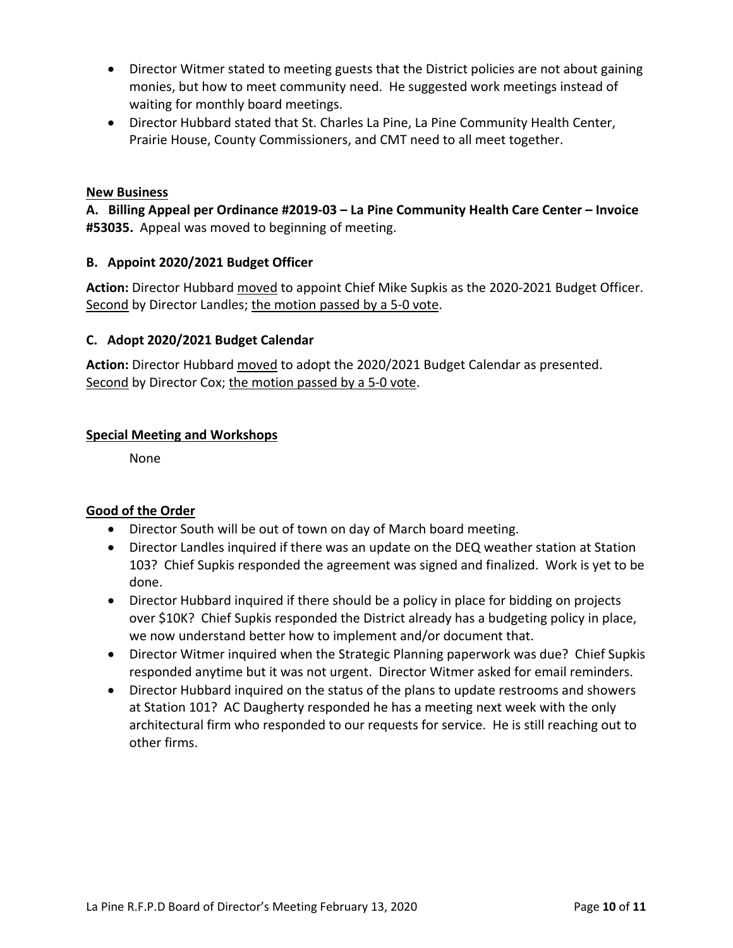- Director Witmer stated to meeting guests that the District policies are not about gaining monies, but how to meet community need. He suggested work meetings instead of waiting for monthly board meetings.
- Director Hubbard stated that St. Charles La Pine, La Pine Community Health Center, Prairie House, County Commissioners, and CMT need to all meet together.

### **New Business**

**A. Billing Appeal per Ordinance #2019‐03 – La Pine Community Health Care Center – Invoice #53035.** Appeal was moved to beginning of meeting.

## **B. Appoint 2020/2021 Budget Officer**

**Action:** Director Hubbard moved to appoint Chief Mike Supkis as the 2020‐2021 Budget Officer. Second by Director Landles; the motion passed by a 5‐0 vote.

## **C. Adopt 2020/2021 Budget Calendar**

**Action:** Director Hubbard moved to adopt the 2020/2021 Budget Calendar as presented. Second by Director Cox; the motion passed by a 5‐0 vote.

#### **Special Meeting and Workshops**

None

## **Good of the Order**

- Director South will be out of town on day of March board meeting.
- Director Landles inquired if there was an update on the DEQ weather station at Station 103? Chief Supkis responded the agreement was signed and finalized. Work is yet to be done.
- Director Hubbard inquired if there should be a policy in place for bidding on projects over \$10K? Chief Supkis responded the District already has a budgeting policy in place, we now understand better how to implement and/or document that.
- Director Witmer inquired when the Strategic Planning paperwork was due? Chief Supkis responded anytime but it was not urgent. Director Witmer asked for email reminders.
- Director Hubbard inquired on the status of the plans to update restrooms and showers at Station 101? AC Daugherty responded he has a meeting next week with the only architectural firm who responded to our requests for service. He is still reaching out to other firms.